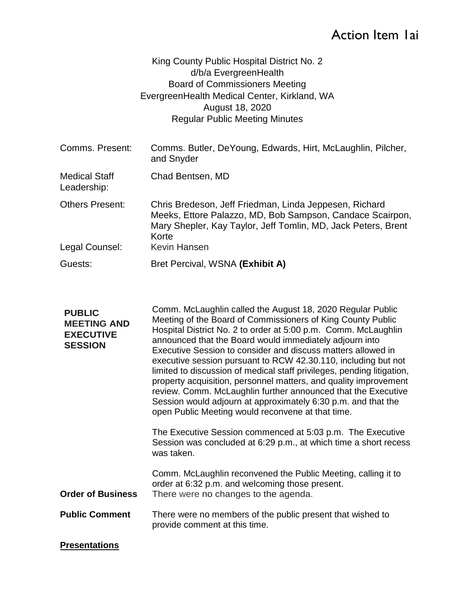# Action Item 1ai

| King County Public Hospital District No. 2   |
|----------------------------------------------|
| d/b/a EvergreenHealth                        |
| <b>Board of Commissioners Meeting</b>        |
| EvergreenHealth Medical Center, Kirkland, WA |
| August 18, 2020                              |
| <b>Regular Public Meeting Minutes</b>        |

| Comms. Present:                          | Comms. Butler, DeYoung, Edwards, Hirt, McLaughlin, Pilcher,<br>and Snyder                                                                                                                                     |
|------------------------------------------|---------------------------------------------------------------------------------------------------------------------------------------------------------------------------------------------------------------|
| <b>Medical Staff</b><br>Leadership:      | Chad Bentsen, MD                                                                                                                                                                                              |
| <b>Others Present:</b><br>Legal Counsel: | Chris Bredeson, Jeff Friedman, Linda Jeppesen, Richard<br>Meeks, Ettore Palazzo, MD, Bob Sampson, Candace Scairpon,<br>Mary Shepler, Kay Taylor, Jeff Tomlin, MD, Jack Peters, Brent<br>Korte<br>Kevin Hansen |
| Guests:                                  | Bret Percival, WSNA (Exhibit A)                                                                                                                                                                               |
|                                          |                                                                                                                                                                                                               |

| <b>PUBLIC</b><br><b>MEETING AND</b><br><b>EXECUTIVE</b><br><b>SESSION</b> | Comm. McLaughlin called the August 18, 2020 Regular Public<br>Meeting of the Board of Commissioners of King County Public<br>Hospital District No. 2 to order at 5:00 p.m. Comm. McLaughlin<br>announced that the Board would immediately adjourn into<br>Executive Session to consider and discuss matters allowed in<br>executive session pursuant to RCW 42.30.110, including but not<br>limited to discussion of medical staff privileges, pending litigation,<br>property acquisition, personnel matters, and quality improvement<br>review. Comm. McLaughlin further announced that the Executive<br>Session would adjourn at approximately 6:30 p.m. and that the<br>open Public Meeting would reconvene at that time.<br>The Executive Session commenced at 5:03 p.m. The Executive |
|---------------------------------------------------------------------------|---------------------------------------------------------------------------------------------------------------------------------------------------------------------------------------------------------------------------------------------------------------------------------------------------------------------------------------------------------------------------------------------------------------------------------------------------------------------------------------------------------------------------------------------------------------------------------------------------------------------------------------------------------------------------------------------------------------------------------------------------------------------------------------------|
|                                                                           | Session was concluded at 6:29 p.m., at which time a short recess<br>was taken.                                                                                                                                                                                                                                                                                                                                                                                                                                                                                                                                                                                                                                                                                                              |
| <b>Order of Business</b>                                                  | Comm. McLaughlin reconvened the Public Meeting, calling it to<br>order at 6:32 p.m. and welcoming those present.<br>There were no changes to the agenda.                                                                                                                                                                                                                                                                                                                                                                                                                                                                                                                                                                                                                                    |
| <b>Public Comment</b>                                                     | There were no members of the public present that wished to<br>provide comment at this time.                                                                                                                                                                                                                                                                                                                                                                                                                                                                                                                                                                                                                                                                                                 |
| <b>Presentations</b>                                                      |                                                                                                                                                                                                                                                                                                                                                                                                                                                                                                                                                                                                                                                                                                                                                                                             |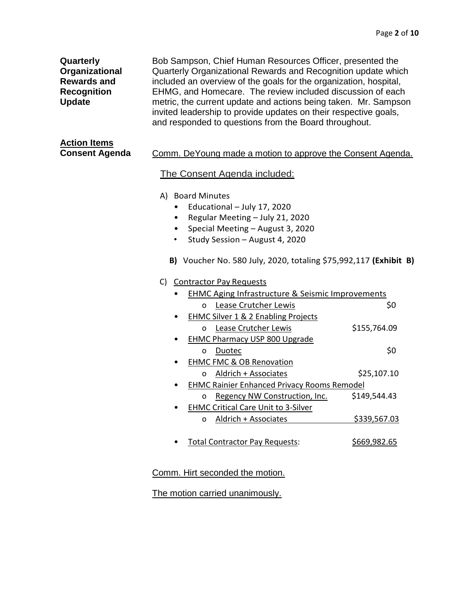| Quarterly<br>Organizational<br><b>Rewards and</b><br><b>Recognition</b><br><b>Update</b> |                        | Bob Sampson, Chief Human Resources Officer, presented the<br>Quarterly Organizational Rewards and Recognition update which<br>included an overview of the goals for the organization, hospital,<br>EHMG, and Homecare. The review included discussion of each<br>metric, the current update and actions being taken. Mr. Sampson<br>invited leadership to provide updates on their respective goals,<br>and responded to questions from the Board throughout. |              |
|------------------------------------------------------------------------------------------|------------------------|---------------------------------------------------------------------------------------------------------------------------------------------------------------------------------------------------------------------------------------------------------------------------------------------------------------------------------------------------------------------------------------------------------------------------------------------------------------|--------------|
| <b>Action Items</b><br><b>Consent Agenda</b>                                             |                        | Comm. DeYoung made a motion to approve the Consent Agenda.<br>The Consent Agenda included:                                                                                                                                                                                                                                                                                                                                                                    |              |
|                                                                                          | $\bullet$<br>$\bullet$ | A) Board Minutes<br>Educational - July 17, 2020<br>Regular Meeting - July 21, 2020<br>Special Meeting - August 3, 2020<br>Study Session - August 4, 2020<br>B) Voucher No. 580 July, 2020, totaling \$75,992,117 (Exhibit B)                                                                                                                                                                                                                                  |              |
|                                                                                          | C)                     | <b>Contractor Pay Requests</b>                                                                                                                                                                                                                                                                                                                                                                                                                                |              |
|                                                                                          |                        | <b>EHMC Aging Infrastructure &amp; Seismic Improvements</b>                                                                                                                                                                                                                                                                                                                                                                                                   |              |
|                                                                                          |                        | Lease Crutcher Lewis<br>o                                                                                                                                                                                                                                                                                                                                                                                                                                     | \$0          |
|                                                                                          |                        | <b>EHMC Silver 1 &amp; 2 Enabling Projects</b>                                                                                                                                                                                                                                                                                                                                                                                                                |              |
|                                                                                          |                        | Lease Crutcher Lewis<br>o                                                                                                                                                                                                                                                                                                                                                                                                                                     | \$155,764.09 |
|                                                                                          |                        | <b>EHMC Pharmacy USP 800 Upgrade</b>                                                                                                                                                                                                                                                                                                                                                                                                                          |              |
|                                                                                          |                        | Duotec<br>0<br><b>EHMC FMC &amp; OB Renovation</b>                                                                                                                                                                                                                                                                                                                                                                                                            | \$0          |
|                                                                                          |                        | Aldrich + Associates<br>o                                                                                                                                                                                                                                                                                                                                                                                                                                     | \$25,107.10  |
|                                                                                          |                        | <b>EHMC Rainier Enhanced Privacy Rooms Remodel</b>                                                                                                                                                                                                                                                                                                                                                                                                            |              |
|                                                                                          |                        | Regency NW Construction, Inc.<br>o                                                                                                                                                                                                                                                                                                                                                                                                                            | \$149,544.43 |
|                                                                                          |                        | <b>EHMC Critical Care Unit to 3-Silver</b>                                                                                                                                                                                                                                                                                                                                                                                                                    |              |
|                                                                                          |                        | Aldrich + Associates<br>o                                                                                                                                                                                                                                                                                                                                                                                                                                     | \$339,567.03 |
|                                                                                          |                        | <b>Total Contractor Pay Requests:</b>                                                                                                                                                                                                                                                                                                                                                                                                                         | \$669,982.65 |

## Comm. Hirt seconded the motion.

The motion carried unanimously.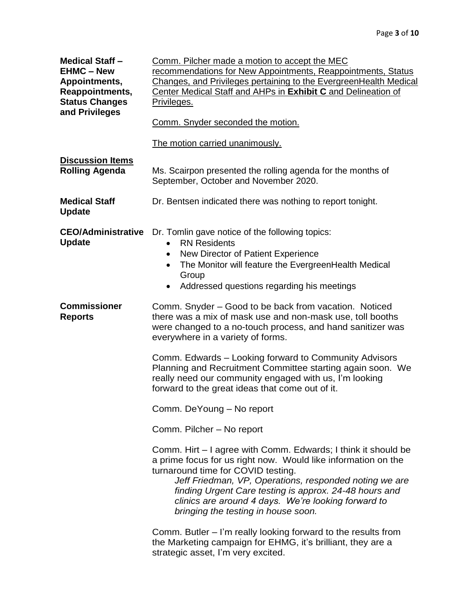| <b>Medical Staff -</b><br><b>EHMC - New</b><br>Appointments,<br>Reappointments,<br><b>Status Changes</b><br>and Privileges | Comm. Pilcher made a motion to accept the MEC<br>recommendations for New Appointments, Reappointments, Status<br>Changes, and Privileges pertaining to the EvergreenHealth Medical<br>Center Medical Staff and AHPs in Exhibit C and Delineation of<br>Privileges.                                                                                                                     |  |  |
|----------------------------------------------------------------------------------------------------------------------------|----------------------------------------------------------------------------------------------------------------------------------------------------------------------------------------------------------------------------------------------------------------------------------------------------------------------------------------------------------------------------------------|--|--|
|                                                                                                                            | Comm. Snyder seconded the motion.                                                                                                                                                                                                                                                                                                                                                      |  |  |
|                                                                                                                            | The motion carried unanimously.                                                                                                                                                                                                                                                                                                                                                        |  |  |
| <b>Discussion Items</b><br><b>Rolling Agenda</b>                                                                           | Ms. Scairpon presented the rolling agenda for the months of<br>September, October and November 2020.                                                                                                                                                                                                                                                                                   |  |  |
| <b>Medical Staff</b><br><b>Update</b>                                                                                      | Dr. Bentsen indicated there was nothing to report tonight.                                                                                                                                                                                                                                                                                                                             |  |  |
| <b>CEO/Administrative</b><br><b>Update</b>                                                                                 | Dr. Tomlin gave notice of the following topics:<br><b>RN Residents</b><br>New Director of Patient Experience<br>The Monitor will feature the EvergreenHealth Medical<br>Group<br>Addressed questions regarding his meetings                                                                                                                                                            |  |  |
| <b>Commissioner</b><br><b>Reports</b>                                                                                      | Comm. Snyder – Good to be back from vacation. Noticed<br>there was a mix of mask use and non-mask use, toll booths<br>were changed to a no-touch process, and hand sanitizer was<br>everywhere in a variety of forms.                                                                                                                                                                  |  |  |
|                                                                                                                            | Comm. Edwards – Looking forward to Community Advisors<br>Planning and Recruitment Committee starting again soon. We<br>really need our community engaged with us, I'm looking<br>forward to the great ideas that come out of it.                                                                                                                                                       |  |  |
|                                                                                                                            | Comm. DeYoung - No report                                                                                                                                                                                                                                                                                                                                                              |  |  |
|                                                                                                                            | Comm. Pilcher - No report                                                                                                                                                                                                                                                                                                                                                              |  |  |
|                                                                                                                            | Comm. Hirt - I agree with Comm. Edwards; I think it should be<br>a prime focus for us right now. Would like information on the<br>turnaround time for COVID testing.<br>Jeff Friedman, VP, Operations, responded noting we are<br>finding Urgent Care testing is approx. 24-48 hours and<br>clinics are around 4 days. We're looking forward to<br>bringing the testing in house soon. |  |  |
|                                                                                                                            | Comm. Butler - I'm really looking forward to the results from<br>the Marketing campaign for EHMG, it's brilliant, they are a<br>strategic asset, I'm very excited.                                                                                                                                                                                                                     |  |  |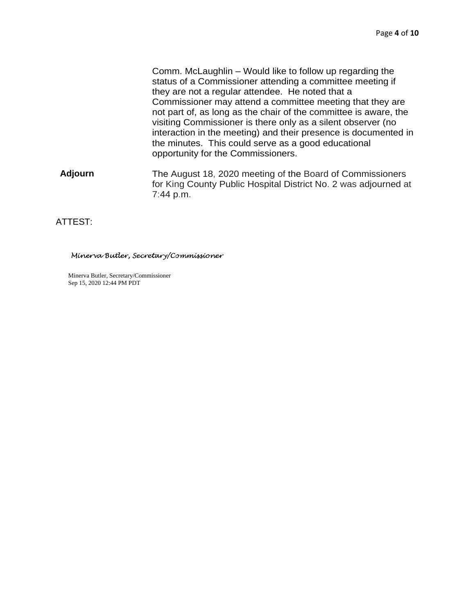Comm. McLaughlin – Would like to follow up regarding the status of a Commissioner attending a committee meeting if they are not a regular attendee. He noted that a Commissioner may attend a committee meeting that they are not part of, as long as the chair of the committee is aware, the visiting Commissioner is there only as a silent observer (no interaction in the meeting) and their presence is documented in the minutes. This could serve as a good educational opportunity for the Commissioners.

**Adjourn** The August 18, 2020 meeting of the Board of Commissioners for King County Public Hospital District No. 2 was adjourned at 7:44 p.m.

### ATTEST:

#### Minerva Butler, Secretary/Commissioner

Minerva Butler, Secretary/Commissioner Sep 15, 2020 12:44 PM PDT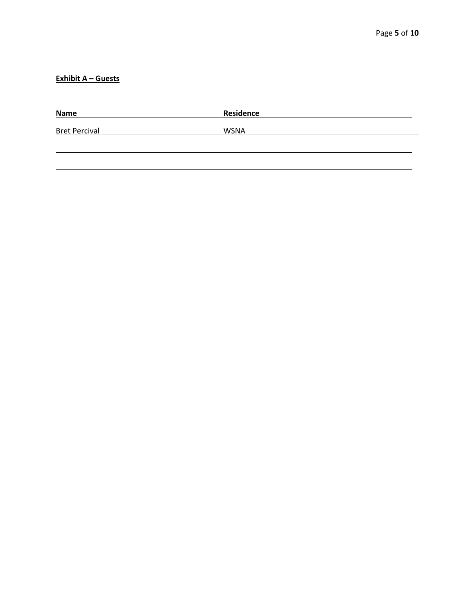## **Exhibit A – Guests**

| <b>Name</b>          | Residence   |
|----------------------|-------------|
| <b>Bret Percival</b> | <b>WSNA</b> |
|                      |             |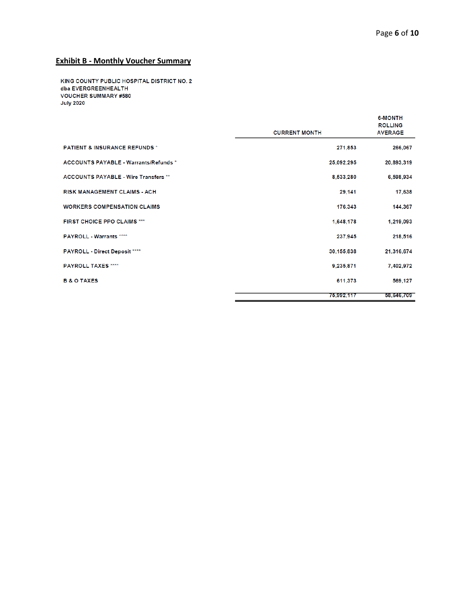## **Exhibit B - Monthly Voucher Summary**

KING COUNTY PUBLIC HOSPITAL DISTRICT NO. 2 dba EVERGREENHEALTH **VOUCHER SUMMARY #580 July 2020** 

|                                              | <b>CURRENT MONTH</b> | <b>6-MONTH</b><br><b>ROLLING</b><br><b>AVERAGE</b> |
|----------------------------------------------|----------------------|----------------------------------------------------|
| <b>PATIENT &amp; INSURANCE REFUNDS *</b>     | 271,853              | 266,067                                            |
| <b>ACCOUNTS PAYABLE - Warrants/Refunds *</b> | 25,092,295           | 20,893,319                                         |
| <b>ACCOUNTS PAYABLE - Wire Transfers **</b>  | 8,533,280            | 6.598.934                                          |
| <b>RISK MANAGEMENT CLAIMS - ACH</b>          | 29,141               | 17,638                                             |
| <b>WORKERS COMPENSATION CLAIMS</b>           | 176,343              | 144,367                                            |
| <b>FIRST CHOICE PPO CLAIMS ***</b>           | 1,648,178            | 1,219,093                                          |
| <b>PAYROLL - Warrants ****</b>               | 237,945              | 218,516                                            |
| PAYROLL - Direct Deposit ****                | 30,155,838           | 21,316,674                                         |
| <b>PAYROLL TAXES ****</b>                    | 9,235,871            | 7,402,972                                          |
| <b>B &amp; O TAXES</b>                       | 611,373              | 569,127                                            |
|                                              | 75,992,117           | 58,646,709                                         |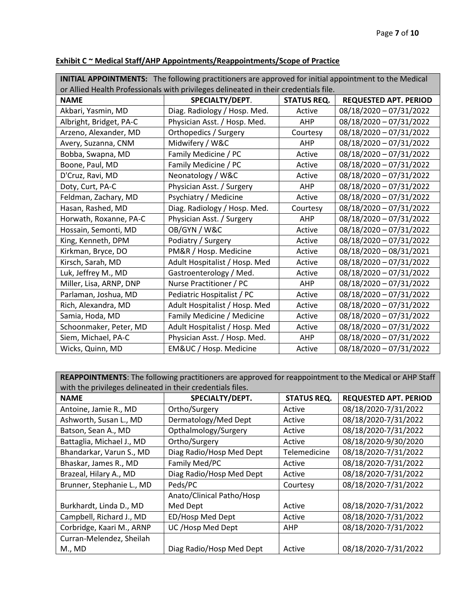| <b>INITIAL APPOINTMENTS:</b> The following practitioners are approved for initial appointment to the Medical |                               |                    |                              |  |
|--------------------------------------------------------------------------------------------------------------|-------------------------------|--------------------|------------------------------|--|
| or Allied Health Professionals with privileges delineated in their credentials file.                         |                               |                    |                              |  |
| <b>NAME</b>                                                                                                  | SPECIALTY/DEPT.               | <b>STATUS REQ.</b> | <b>REQUESTED APT. PERIOD</b> |  |
| Akbari, Yasmin, MD                                                                                           | Diag. Radiology / Hosp. Med.  | Active             | 08/18/2020 - 07/31/2022      |  |
| Albright, Bridget, PA-C                                                                                      | Physician Asst. / Hosp. Med.  | <b>AHP</b>         | 08/18/2020 - 07/31/2022      |  |
| Arzeno, Alexander, MD                                                                                        | Orthopedics / Surgery         | Courtesy           | 08/18/2020 - 07/31/2022      |  |
| Avery, Suzanna, CNM                                                                                          | Midwifery / W&C               | <b>AHP</b>         | 08/18/2020 - 07/31/2022      |  |
| Bobba, Swapna, MD                                                                                            | Family Medicine / PC          | Active             | 08/18/2020 - 07/31/2022      |  |
| Boone, Paul, MD                                                                                              | Family Medicine / PC          | Active             | 08/18/2020 - 07/31/2022      |  |
| D'Cruz, Ravi, MD                                                                                             | Neonatology / W&C             | Active             | 08/18/2020 - 07/31/2022      |  |
| Doty, Curt, PA-C                                                                                             | Physician Asst. / Surgery     | <b>AHP</b>         | 08/18/2020 - 07/31/2022      |  |
| Feldman, Zachary, MD                                                                                         | Psychiatry / Medicine         | Active             | 08/18/2020 - 07/31/2022      |  |
| Hasan, Rashed, MD                                                                                            | Diag. Radiology / Hosp. Med.  | Courtesy           | 08/18/2020 - 07/31/2022      |  |
| Horwath, Roxanne, PA-C                                                                                       | Physician Asst. / Surgery     | <b>AHP</b>         | 08/18/2020 - 07/31/2022      |  |
| Hossain, Semonti, MD                                                                                         | OB/GYN / W&C                  | Active             | 08/18/2020 - 07/31/2022      |  |
| King, Kenneth, DPM                                                                                           | Podiatry / Surgery            | Active             | 08/18/2020 - 07/31/2022      |  |
| Kirkman, Bryce, DO                                                                                           | PM&R / Hosp. Medicine         | Active             | 08/18/2020 - 08/31/2021      |  |
| Kirsch, Sarah, MD                                                                                            | Adult Hospitalist / Hosp. Med | Active             | 08/18/2020 - 07/31/2022      |  |
| Luk, Jeffrey M., MD                                                                                          | Gastroenterology / Med.       | Active             | 08/18/2020 - 07/31/2022      |  |
| Miller, Lisa, ARNP, DNP                                                                                      | Nurse Practitioner / PC       | AHP                | 08/18/2020 - 07/31/2022      |  |
| Parlaman, Joshua, MD                                                                                         | Pediatric Hospitalist / PC    | Active             | 08/18/2020 - 07/31/2022      |  |
| Rich, Alexandra, MD                                                                                          | Adult Hospitalist / Hosp. Med | Active             | 08/18/2020 - 07/31/2022      |  |
| Samia, Hoda, MD                                                                                              | Family Medicine / Medicine    | Active             | 08/18/2020 - 07/31/2022      |  |
| Schoonmaker, Peter, MD                                                                                       | Adult Hospitalist / Hosp. Med | Active             | 08/18/2020 - 07/31/2022      |  |
| Siem, Michael, PA-C                                                                                          | Physician Asst. / Hosp. Med.  | <b>AHP</b>         | 08/18/2020 - 07/31/2022      |  |
| Wicks, Quinn, MD                                                                                             | EM&UC / Hosp. Medicine        | Active             | 08/18/2020 - 07/31/2022      |  |

## **Exhibit C ~ Medical Staff/AHP Appointments/Reappointments/Scope of Practice**

**REAPPOINTMENTS**: The following practitioners are approved for reappointment to the Medical or AHP Staff with the privileges delineated in their credentials files.

| <b>NAME</b>               | SPECIALTY/DEPT.           | <b>STATUS REQ.</b> | <b>REQUESTED APT. PERIOD</b> |
|---------------------------|---------------------------|--------------------|------------------------------|
| Antoine, Jamie R., MD     | Ortho/Surgery             | Active             | 08/18/2020-7/31/2022         |
| Ashworth, Susan L., MD    | Dermatology/Med Dept      | Active             | 08/18/2020-7/31/2022         |
| Batson, Sean A., MD       | Opthalmology/Surgery      | Active             | 08/18/2020-7/31/2022         |
| Battaglia, Michael J., MD | Ortho/Surgery             | Active             | 08/18/2020-9/30/2020         |
| Bhandarkar, Varun S., MD  | Diag Radio/Hosp Med Dept  | Telemedicine       | 08/18/2020-7/31/2022         |
| Bhaskar, James R., MD     | Family Med/PC             | Active             | 08/18/2020-7/31/2022         |
| Brazeal, Hilary A., MD    | Diag Radio/Hosp Med Dept  | Active             | 08/18/2020-7/31/2022         |
| Brunner, Stephanie L., MD | Peds/PC                   | Courtesy           | 08/18/2020-7/31/2022         |
|                           | Anato/Clinical Patho/Hosp |                    |                              |
| Burkhardt, Linda D., MD   | Med Dept                  | Active             | 08/18/2020-7/31/2022         |
| Campbell, Richard J., MD  | ED/Hosp Med Dept          | Active             | 08/18/2020-7/31/2022         |
| Corbridge, Kaari M., ARNP | UC/Hosp Med Dept          | AHP                | 08/18/2020-7/31/2022         |
| Curran-Melendez, Sheilah  |                           |                    |                              |
| <b>M., MD</b>             | Diag Radio/Hosp Med Dept  | Active             | 08/18/2020-7/31/2022         |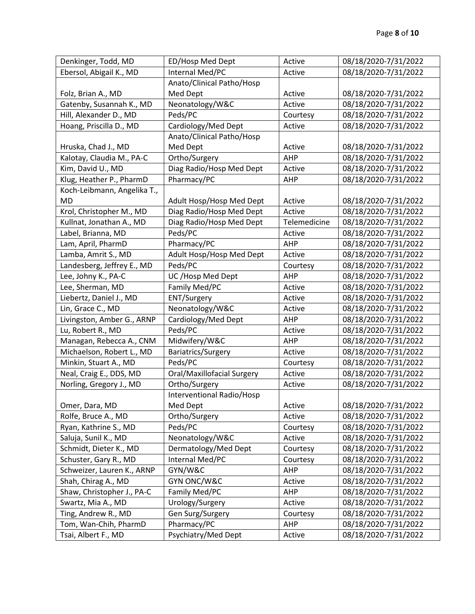| Denkinger, Todd, MD         | ED/Hosp Med Dept           | Active       | 08/18/2020-7/31/2022 |
|-----------------------------|----------------------------|--------------|----------------------|
| Ebersol, Abigail K., MD     | Internal Med/PC            | Active       | 08/18/2020-7/31/2022 |
|                             | Anato/Clinical Patho/Hosp  |              |                      |
| Folz, Brian A., MD          | Med Dept                   | Active       | 08/18/2020-7/31/2022 |
| Gatenby, Susannah K., MD    | Neonatology/W&C            | Active       | 08/18/2020-7/31/2022 |
| Hill, Alexander D., MD      | Peds/PC                    | Courtesy     | 08/18/2020-7/31/2022 |
| Hoang, Priscilla D., MD     | Cardiology/Med Dept        | Active       | 08/18/2020-7/31/2022 |
|                             | Anato/Clinical Patho/Hosp  |              |                      |
| Hruska, Chad J., MD         | Med Dept                   | Active       | 08/18/2020-7/31/2022 |
| Kalotay, Claudia M., PA-C   | Ortho/Surgery              | AHP          | 08/18/2020-7/31/2022 |
| Kim, David U., MD           | Diag Radio/Hosp Med Dept   | Active       | 08/18/2020-7/31/2022 |
| Klug, Heather P., PharmD    | Pharmacy/PC                | AHP          | 08/18/2020-7/31/2022 |
| Koch-Leibmann, Angelika T., |                            |              |                      |
| <b>MD</b>                   | Adult Hosp/Hosp Med Dept   | Active       | 08/18/2020-7/31/2022 |
| Krol, Christopher M., MD    | Diag Radio/Hosp Med Dept   | Active       | 08/18/2020-7/31/2022 |
| Kullnat, Jonathan A., MD    | Diag Radio/Hosp Med Dept   | Telemedicine | 08/18/2020-7/31/2022 |
| Label, Brianna, MD          | Peds/PC                    | Active       | 08/18/2020-7/31/2022 |
| Lam, April, PharmD          | Pharmacy/PC                | AHP          | 08/18/2020-7/31/2022 |
| Lamba, Amrit S., MD         | Adult Hosp/Hosp Med Dept   | Active       | 08/18/2020-7/31/2022 |
| Landesberg, Jeffrey E., MD  | Peds/PC                    | Courtesy     | 08/18/2020-7/31/2022 |
| Lee, Johny K., PA-C         | UC /Hosp Med Dept          | AHP          | 08/18/2020-7/31/2022 |
| Lee, Sherman, MD            | Family Med/PC              | Active       | 08/18/2020-7/31/2022 |
| Liebertz, Daniel J., MD     | ENT/Surgery                | Active       | 08/18/2020-7/31/2022 |
| Lin, Grace C., MD           | Neonatology/W&C            | Active       | 08/18/2020-7/31/2022 |
| Livingston, Amber G., ARNP  | Cardiology/Med Dept        | AHP          | 08/18/2020-7/31/2022 |
| Lu, Robert R., MD           | Peds/PC                    | Active       | 08/18/2020-7/31/2022 |
| Managan, Rebecca A., CNM    | Midwifery/W&C              | AHP          | 08/18/2020-7/31/2022 |
| Michaelson, Robert L., MD   | Bariatrics/Surgery         | Active       | 08/18/2020-7/31/2022 |
| Minkin, Stuart A., MD       | Peds/PC                    | Courtesy     | 08/18/2020-7/31/2022 |
| Neal, Craig E., DDS, MD     | Oral/Maxillofacial Surgery | Active       | 08/18/2020-7/31/2022 |
| Norling, Gregory J., MD     | Ortho/Surgery              | Active       | 08/18/2020-7/31/2022 |
|                             | Interventional Radio/Hosp  |              |                      |
| Omer, Dara, MD              | Med Dept                   | Active       | 08/18/2020-7/31/2022 |
| Rolfe, Bruce A., MD         | Ortho/Surgery              | Active       | 08/18/2020-7/31/2022 |
| Ryan, Kathrine S., MD       | Peds/PC                    | Courtesy     | 08/18/2020-7/31/2022 |
| Saluja, Sunil K., MD        | Neonatology/W&C            | Active       | 08/18/2020-7/31/2022 |
| Schmidt, Dieter K., MD      | Dermatology/Med Dept       | Courtesy     | 08/18/2020-7/31/2022 |
| Schuster, Gary R., MD       | Internal Med/PC            | Courtesy     | 08/18/2020-7/31/2022 |
| Schweizer, Lauren K., ARNP  | GYN/W&C                    | AHP          | 08/18/2020-7/31/2022 |
| Shah, Chirag A., MD         | GYN ONC/W&C                | Active       | 08/18/2020-7/31/2022 |
| Shaw, Christopher J., PA-C  | Family Med/PC              | AHP          | 08/18/2020-7/31/2022 |
| Swartz, Mia A., MD          | Urology/Surgery            | Active       | 08/18/2020-7/31/2022 |
| Ting, Andrew R., MD         | Gen Surg/Surgery           | Courtesy     | 08/18/2020-7/31/2022 |
| Tom, Wan-Chih, PharmD       | Pharmacy/PC                | AHP          | 08/18/2020-7/31/2022 |
| Tsai, Albert F., MD         | Psychiatry/Med Dept        | Active       | 08/18/2020-7/31/2022 |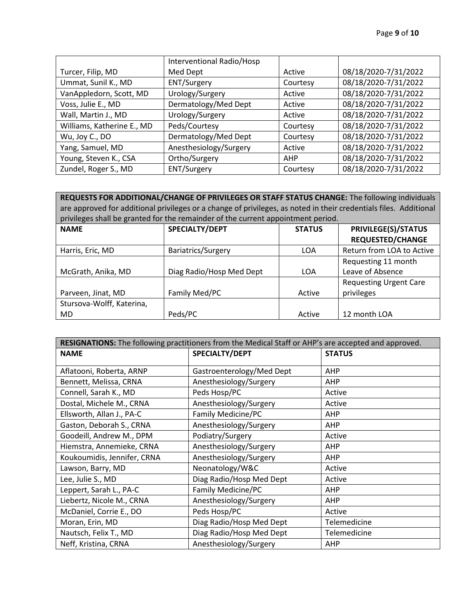|                            | Interventional Radio/Hosp |          |                      |
|----------------------------|---------------------------|----------|----------------------|
| Turcer, Filip, MD          | Med Dept                  | Active   | 08/18/2020-7/31/2022 |
| Ummat, Sunil K., MD        | <b>ENT/Surgery</b>        | Courtesy | 08/18/2020-7/31/2022 |
| VanAppledorn, Scott, MD    | Urology/Surgery           | Active   | 08/18/2020-7/31/2022 |
| Voss, Julie E., MD         | Dermatology/Med Dept      | Active   | 08/18/2020-7/31/2022 |
| Wall, Martin J., MD        | Urology/Surgery           | Active   | 08/18/2020-7/31/2022 |
| Williams, Katherine E., MD | Peds/Courtesy             | Courtesy | 08/18/2020-7/31/2022 |
| Wu, Joy C., DO             | Dermatology/Med Dept      | Courtesy | 08/18/2020-7/31/2022 |
| Yang, Samuel, MD           | Anesthesiology/Surgery    | Active   | 08/18/2020-7/31/2022 |
| Young, Steven K., CSA      | Ortho/Surgery             | AHP      | 08/18/2020-7/31/2022 |
| Zundel, Roger S., MD       | <b>ENT/Surgery</b>        | Courtesy | 08/18/2020-7/31/2022 |

**REQUESTS FOR ADDITIONAL/CHANGE OF PRIVILEGES OR STAFF STATUS CHANGE:** The following individuals are approved for additional privileges or a change of privileges, as noted in their credentials files. Additional privileges shall be granted for the remainder of the current appointment period.

| <b>NAME</b>               | SPECIALTY/DEPT           | <b>STATUS</b> | <b>PRIVILEGE(S)/STATUS</b>    |  |
|---------------------------|--------------------------|---------------|-------------------------------|--|
|                           |                          |               | <b>REQUESTED/CHANGE</b>       |  |
| Harris, Eric, MD          | Bariatrics/Surgery       | <b>LOA</b>    | Return from LOA to Active     |  |
|                           |                          |               | Requesting 11 month           |  |
| McGrath, Anika, MD        | Diag Radio/Hosp Med Dept | <b>LOA</b>    | Leave of Absence              |  |
|                           |                          |               | <b>Requesting Urgent Care</b> |  |
| Parveen, Jinat, MD        | Family Med/PC            | Active        | privileges                    |  |
| Stursova-Wolff, Katerina, |                          |               |                               |  |
| MD.                       | Peds/PC                  | Active        | 12 month LOA                  |  |

| RESIGNATIONS: The following practitioners from the Medical Staff or AHP's are accepted and approved. |                           |               |  |
|------------------------------------------------------------------------------------------------------|---------------------------|---------------|--|
| <b>NAME</b>                                                                                          | SPECIALTY/DEPT            | <b>STATUS</b> |  |
| Aflatooni, Roberta, ARNP                                                                             | Gastroenterology/Med Dept | AHP           |  |
| Bennett, Melissa, CRNA                                                                               | Anesthesiology/Surgery    | AHP           |  |
| Connell, Sarah K., MD                                                                                | Peds Hosp/PC              | Active        |  |
| Dostal, Michele M., CRNA                                                                             | Anesthesiology/Surgery    | Active        |  |
| Ellsworth, Allan J., PA-C                                                                            | Family Medicine/PC        | <b>AHP</b>    |  |
| Gaston, Deborah S., CRNA                                                                             | Anesthesiology/Surgery    | <b>AHP</b>    |  |
| Goodeill, Andrew M., DPM                                                                             | Podiatry/Surgery          | Active        |  |
| Hiemstra, Annemieke, CRNA                                                                            | Anesthesiology/Surgery    | <b>AHP</b>    |  |
| Koukoumidis, Jennifer, CRNA                                                                          | Anesthesiology/Surgery    | <b>AHP</b>    |  |
| Lawson, Barry, MD                                                                                    | Neonatology/W&C           | Active        |  |
| Lee, Julie S., MD                                                                                    | Diag Radio/Hosp Med Dept  | Active        |  |
| Leppert, Sarah L., PA-C                                                                              | Family Medicine/PC        | <b>AHP</b>    |  |
| Liebertz, Nicole M., CRNA                                                                            | Anesthesiology/Surgery    | AHP           |  |
| McDaniel, Corrie E., DO                                                                              | Peds Hosp/PC              | Active        |  |
| Moran, Erin, MD                                                                                      | Diag Radio/Hosp Med Dept  | Telemedicine  |  |
| Nautsch, Felix T., MD                                                                                | Diag Radio/Hosp Med Dept  | Telemedicine  |  |
| Neff, Kristina, CRNA                                                                                 | Anesthesiology/Surgery    | <b>AHP</b>    |  |